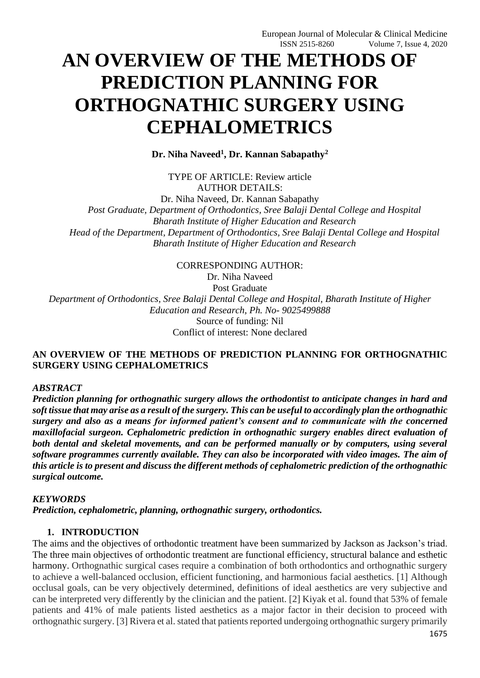# **AN OVERVIEW OF THE METHODS OF PREDICTION PLANNING FOR ORTHOGNATHIC SURGERY USING CEPHALOMETRICS**

**Dr. Niha Naveed<sup>1</sup> , Dr. Kannan Sabapathy<sup>2</sup>**

TYPE OF ARTICLE: Review article AUTHOR DETAILS:

Dr. Niha Naveed, Dr. Kannan Sabapathy *Post Graduate, Department of Orthodontics, Sree Balaji Dental College and Hospital Bharath Institute of Higher Education and Research Head of the Department, Department of Orthodontics, Sree Balaji Dental College and Hospital Bharath Institute of Higher Education and Research*

CORRESPONDING AUTHOR:

Dr. Niha Naveed Post Graduate *Department of Orthodontics, Sree Balaji Dental College and Hospital, Bharath Institute of Higher Education and Research, Ph. No- 9025499888* Source of funding: Nil

Conflict of interest: None declared

### **AN OVERVIEW OF THE METHODS OF PREDICTION PLANNING FOR ORTHOGNATHIC SURGERY USING CEPHALOMETRICS**

#### *ABSTRACT*

*Prediction planning for orthognathic surgery allows the orthodontist to anticipate changes in hard and soft tissue that may arise as a result of the surgery. This can be useful to accordingly plan the orthognathic surgery and also as a means for informed patient's consent and to communicate with the concerned maxillofacial surgeon. Cephalometric prediction in orthognathic surgery enables direct evaluation of both dental and skeletal movements, and can be performed manually or by computers, using several software programmes currently available. They can also be incorporated with video images. The aim of this article is to present and discuss the different methods of cephalometric prediction of the orthognathic surgical outcome.*

#### *KEYWORDS*

*Prediction, cephalometric, planning, orthognathic surgery, orthodontics.*

#### **1. INTRODUCTION**

The aims and the objectives of orthodontic treatment have been summarized by Jackson as Jackson's triad. The three main objectives of orthodontic treatment are functional efficiency, structural balance and esthetic harmony. Orthognathic surgical cases require a combination of both orthodontics and orthognathic surgery to achieve a well-balanced occlusion, efficient functioning, and harmonious facial aesthetics. [1] Although occlusal goals, can be very objectively determined, definitions of ideal aesthetics are very subjective and can be interpreted very differently by the clinician and the patient. [2] Kiyak et al. found that 53% of female patients and 41% of male patients listed aesthetics as a major factor in their decision to proceed with orthognathic surgery. [3] Rivera et al. stated that patients reported undergoing orthognathic surgery primarily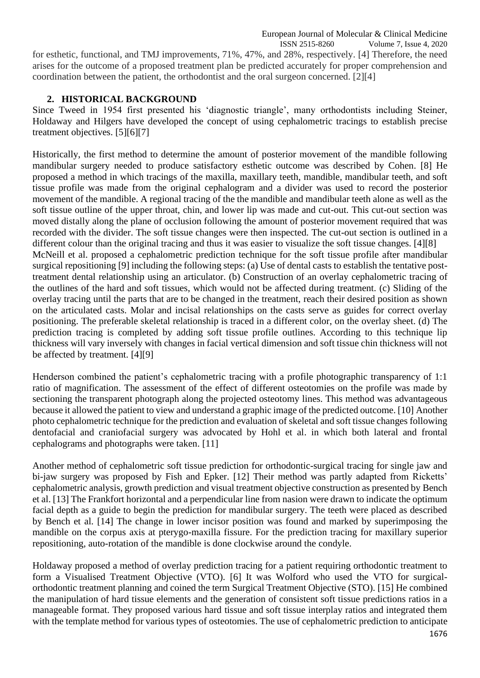ISSN 2515-8260 Volume 7, Issue 4, 2020 for esthetic, functional, and TMJ improvements, 71%, 47%, and 28%, respectively. [4] Therefore, the need arises for the outcome of a proposed treatment plan be predicted accurately for proper comprehension and coordination between the patient, the orthodontist and the oral surgeon concerned. [2][4]

# **2. HISTORICAL BACKGROUND**

Since Tweed in 1954 first presented his 'diagnostic triangle', many orthodontists including Steiner, Holdaway and Hilgers have developed the concept of using cephalometric tracings to establish precise treatment objectives. [5][6][7]

Historically, the first method to determine the amount of posterior movement of the mandible following mandibular surgery needed to produce satisfactory esthetic outcome was described by Cohen. [8] He proposed a method in which tracings of the maxilla, maxillary teeth, mandible, mandibular teeth, and soft tissue profile was made from the original cephalogram and a divider was used to record the posterior movement of the mandible. A regional tracing of the the mandible and mandibular teeth alone as well as the soft tissue outline of the upper throat, chin, and lower lip was made and cut-out. This cut-out section was moved distally along the plane of occlusion following the amount of posterior movement required that was recorded with the divider. The soft tissue changes were then inspected. The cut-out section is outlined in a different colour than the original tracing and thus it was easier to visualize the soft tissue changes. [4][8] McNeill et al. proposed a cephalometric prediction technique for the soft tissue profile after mandibular surgical repositioning [9] including the following steps: (a) Use of dental casts to establish the tentative posttreatment dental relationship using an articulator. (b) Construction of an overlay cephalometric tracing of the outlines of the hard and soft tissues, which would not be affected during treatment. (c) Sliding of the overlay tracing until the parts that are to be changed in the treatment, reach their desired position as shown on the articulated casts. Molar and incisal relationships on the casts serve as guides for correct overlay positioning. The preferable skeletal relationship is traced in a different color, on the overlay sheet. (d) The prediction tracing is completed by adding soft tissue profile outlines. According to this technique lip thickness will vary inversely with changes in facial vertical dimension and soft tissue chin thickness will not be affected by treatment. [4][9]

Henderson combined the patient's cephalometric tracing with a profile photographic transparency of 1:1 ratio of magnification. The assessment of the effect of different osteotomies on the profile was made by sectioning the transparent photograph along the projected osteotomy lines. This method was advantageous because it allowed the patient to view and understand a graphic image of the predicted outcome. [10] Another photo cephalometric technique for the prediction and evaluation of skeletal and soft tissue changes following dentofacial and craniofacial surgery was advocated by Hohl et al. in which both lateral and frontal cephalograms and photographs were taken. [11]

Another method of cephalometric soft tissue prediction for orthodontic-surgical tracing for single jaw and bi-jaw surgery was proposed by Fish and Epker. [12] Their method was partly adapted from Ricketts' cephalometric analysis, growth prediction and visual treatment objective construction as presented by Bench et al. [13] The Frankfort horizontal and a perpendicular line from nasion were drawn to indicate the optimum facial depth as a guide to begin the prediction for mandibular surgery. The teeth were placed as described by Bench et al. [14] The change in lower incisor position was found and marked by superimposing the mandible on the corpus axis at pterygo-maxilla fissure. For the prediction tracing for maxillary superior repositioning, auto-rotation of the mandible is done clockwise around the condyle.

Holdaway proposed a method of overlay prediction tracing for a patient requiring orthodontic treatment to form a Visualised Treatment Objective (VTO). [6] It was Wolford who used the VTO for surgicalorthodontic treatment planning and coined the term Surgical Treatment Objective (STO). [15] He combined the manipulation of hard tissue elements and the generation of consistent soft tissue predictions ratios in a manageable format. They proposed various hard tissue and soft tissue interplay ratios and integrated them with the template method for various types of osteotomies. The use of cephalometric prediction to anticipate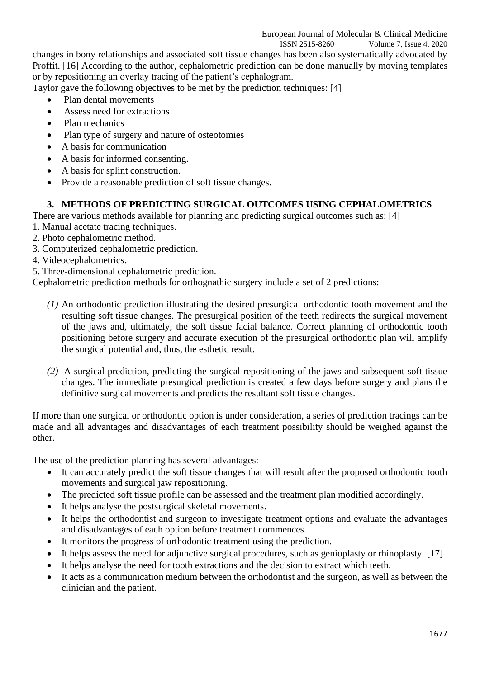#### ISSN 2515-8260 Volume 7, Issue 4, 2020

changes in bony relationships and associated soft tissue changes has been also systematically advocated by Proffit. [16] According to the author, cephalometric prediction can be done manually by moving templates or by repositioning an overlay tracing of the patient's cephalogram.

Taylor gave the following objectives to be met by the prediction techniques: [4]

- Plan dental movements
- Assess need for extractions
- Plan mechanics
- Plan type of surgery and nature of osteotomies
- A basis for communication
- A basis for informed consenting.
- A basis for splint construction.
- Provide a reasonable prediction of soft tissue changes.

# **3. METHODS OF PREDICTING SURGICAL OUTCOMES USING CEPHALOMETRICS**

There are various methods available for planning and predicting surgical outcomes such as: [4]

- 1. Manual acetate tracing techniques.
- 2. Photo cephalometric method.
- 3. Computerized cephalometric prediction.
- 4. Videocephalometrics.
- 5. Three-dimensional cephalometric prediction.

Cephalometric prediction methods for orthognathic surgery include a set of 2 predictions:

- *(1)* An orthodontic prediction illustrating the desired presurgical orthodontic tooth movement and the resulting soft tissue changes. The presurgical position of the teeth redirects the surgical movement of the jaws and, ultimately, the soft tissue facial balance. Correct planning of orthodontic tooth positioning before surgery and accurate execution of the presurgical orthodontic plan will amplify the surgical potential and, thus, the esthetic result.
- *(2)* A surgical prediction, predicting the surgical repositioning of the jaws and subsequent soft tissue changes. The immediate presurgical prediction is created a few days before surgery and plans the definitive surgical movements and predicts the resultant soft tissue changes.

If more than one surgical or orthodontic option is under consideration, a series of prediction tracings can be made and all advantages and disadvantages of each treatment possibility should be weighed against the other.

The use of the prediction planning has several advantages:

- It can accurately predict the soft tissue changes that will result after the proposed orthodontic tooth movements and surgical jaw repositioning.
- The predicted soft tissue profile can be assessed and the treatment plan modified accordingly.
- It helps analyse the postsurgical skeletal movements.
- It helps the orthodontist and surgeon to investigate treatment options and evaluate the advantages and disadvantages of each option before treatment commences.
- It monitors the progress of orthodontic treatment using the prediction.
- It helps assess the need for adjunctive surgical procedures, such as genioplasty or rhinoplasty. [17]
- It helps analyse the need for tooth extractions and the decision to extract which teeth.
- It acts as a communication medium between the orthodontist and the surgeon, as well as between the clinician and the patient.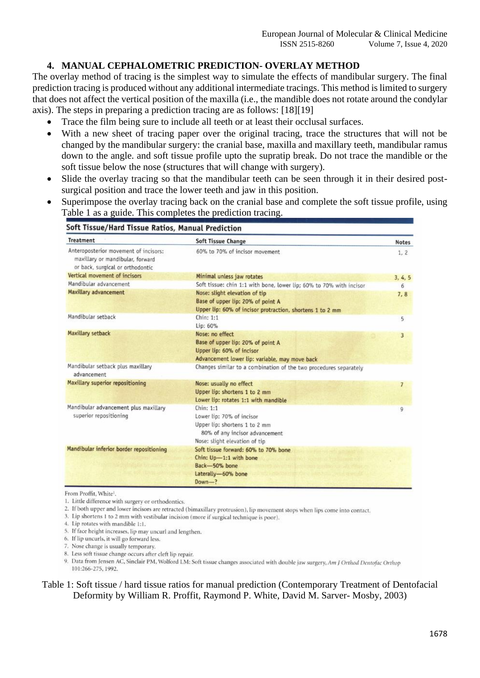# **4. MANUAL CEPHALOMETRIC PREDICTION- OVERLAY METHOD**

The overlay method of tracing is the simplest way to simulate the effects of mandibular surgery. The final prediction tracing is produced without any additional intermediate tracings. This method is limited to surgery that does not affect the vertical position of the maxilla (i.e., the mandible does not rotate around the condylar axis). The steps in preparing a prediction tracing are as follows: [18][19]

- Trace the film being sure to include all teeth or at least their occlusal surfaces.
- With a new sheet of tracing paper over the original tracing, trace the structures that will not be changed by the mandibular surgery: the cranial base, maxilla and maxillary teeth, mandibular ramus down to the angle. and soft tissue profile upto the supratip break. Do not trace the mandible or the soft tissue below the nose (structures that will change with surgery).
- Slide the overlay tracing so that the mandibular teeth can be seen through it in their desired postsurgical position and trace the lower teeth and jaw in this position.
- Superimpose the overlay tracing back on the cranial base and complete the soft tissue profile, using Table 1 as a guide. This completes the prediction tracing.

| <b>Treatment</b>                                                                                              | <b>Soft Tissue Change</b>                                                                                                                  | <b>Notes</b>            |
|---------------------------------------------------------------------------------------------------------------|--------------------------------------------------------------------------------------------------------------------------------------------|-------------------------|
| Anteroposterior movement of incisors:<br>maxillary or mandibular, forward<br>or back, surgical or orthodontic | 60% to 70% of incisor movement                                                                                                             | 1, 2                    |
| Vertical movement of incisors                                                                                 | Minimal unless jaw rotates                                                                                                                 | 3, 4, 5                 |
| Mandibular advancement                                                                                        | Soft tissue: chin 1:1 with bone, lower lip; 60% to 70% with incisor                                                                        | 6                       |
| Maxillary advancement                                                                                         | Nose: slight elevation of tip<br>Base of upper lip: 20% of point A<br>Upper lip: 60% of incisor protraction, shortens 1 to 2 mm            | 7, 8                    |
| Mandibular setback                                                                                            | Chin: 1:1<br>Lip: 60%                                                                                                                      | 5                       |
| <b>Maxillary setback</b>                                                                                      | Nose: no effect<br>Base of upper lip: 20% of point A<br>Upper lip: 60% of incisor<br>Advancement lower lip: variable, may move back        | $\overline{\mathbf{3}}$ |
| Mandibular setback plus maxillary<br>advancement                                                              | Changes similar to a combination of the two procedures separately                                                                          |                         |
| Maxillary superior repositioning                                                                              | Nose: usually no effect<br>Upper lip: shortens 1 to 2 mm<br>Lower lip: rotates 1:1 with mandible                                           | 7                       |
| Mandibular advancement plus maxillary<br>superior repositioning                                               | Chin: 1:1<br>Lower lip: 70% of incisor<br>Upper lip: shortens 1 to 2 mm<br>80% of any incisor advancement<br>Nose: slight elevation of tip | 9                       |
| Mandibular inferior border repositioning                                                                      | Soft tissue forward: 60% to 70% bone<br>Chin: Up-1:1 with bone<br>Back-50% bone<br>Laterally-60% bone<br>$Down-?$                          |                         |

From Proffit, White<sup>1</sup>.

- 1. Little difference with surgery or orthodontics.
- 2. If both upper and lower incisors are retracted (bimaxillary protrusion), lip movement stops when lips come into contact.
- 3. Lip shortens 1 to 2 mm with vestibular incision (more if surgical technique is poor).
- 4. Lip rotates with mandible 1:1.
- 5. If face height increases, lip may uncurl and lengthen.
- 6. If lip uncurls, it will go forward less.
- 7. Nose change is usually temporary. 8. Less soft tissue change occurs after cleft lip repair.
- 9. Data from Jensen AC, Sinclair PM, Wolford LM: Soft tissue changes associated with double jaw surgery, Am J Orthod Dentofac Orthop 101:266-275, 1992.

#### Table 1: Soft tissue / hard tissue ratios for manual prediction (Contemporary Treatment of Dentofacial Deformity by William R. Proffit, Raymond P. White, David M. Sarver- Mosby, 2003)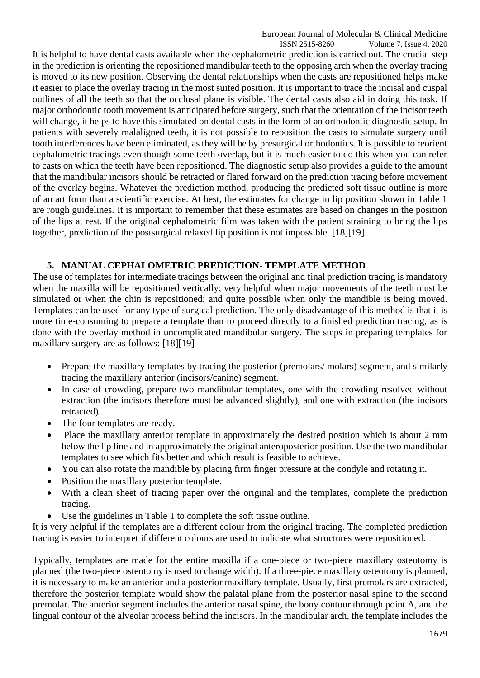#### European Journal of Molecular & Clinical Medicine

 ISSN 2515-8260 Volume 7, Issue 4, 2020 It is helpful to have dental casts available when the cephalometric prediction is carried out. The crucial step in the prediction is orienting the repositioned mandibular teeth to the opposing arch when the overlay tracing is moved to its new position. Observing the dental relationships when the casts are repositioned helps make it easier to place the overlay tracing in the most suited position. It is important to trace the incisal and cuspal outlines of all the teeth so that the occlusal plane is visible. The dental casts also aid in doing this task. If major orthodontic tooth movement is anticipated before surgery, such that the orientation of the incisor teeth will change, it helps to have this simulated on dental casts in the form of an orthodontic diagnostic setup. In patients with severely malaligned teeth, it is not possible to reposition the casts to simulate surgery until tooth interferences have been eliminated, as they will be by presurgical orthodontics. It is possible to reorient cephalometric tracings even though some teeth overlap, but it is much easier to do this when you can refer to casts on which the teeth have been repositioned. The diagnostic setup also provides a guide to the amount that the mandibular incisors should be retracted or flared forward on the prediction tracing before movement of the overlay begins. Whatever the prediction method, producing the predicted soft tissue outline is more of an art form than a scientific exercise. At best, the estimates for change in lip position shown in Table 1 are rough guidelines. It is important to remember that these estimates are based on changes in the position of the lips at rest. If the original cephalometric film was taken with the patient straining to bring the lips together, prediction of the postsurgical relaxed lip position is not impossible. [18][19]

### **5. MANUAL CEPHALOMETRIC PREDICTION- TEMPLATE METHOD**

The use of templates for intermediate tracings between the original and final prediction tracing is mandatory when the maxilla will be repositioned vertically; very helpful when major movements of the teeth must be simulated or when the chin is repositioned; and quite possible when only the mandible is being moved. Templates can be used for any type of surgical prediction. The only disadvantage of this method is that it is more time-consuming to prepare a template than to proceed directly to a finished prediction tracing, as is done with the overlay method in uncomplicated mandibular surgery. The steps in preparing templates for maxillary surgery are as follows: [18][19]

- Prepare the maxillary templates by tracing the posterior (premolars/ molars) segment, and similarly tracing the maxillary anterior (incisors/canine) segment.
- In case of crowding, prepare two mandibular templates, one with the crowding resolved without extraction (the incisors therefore must be advanced slightly), and one with extraction (the incisors retracted).
- The four templates are ready.
- Place the maxillary anterior template in approximately the desired position which is about 2 mm below the lip line and in approximately the original anteroposterior position. Use the two mandibular templates to see which fits better and which result is feasible to achieve.
- You can also rotate the mandible by placing firm finger pressure at the condyle and rotating it.
- Position the maxillary posterior template.
- With a clean sheet of tracing paper over the original and the templates, complete the prediction tracing.
- Use the guidelines in Table 1 to complete the soft tissue outline.

It is very helpful if the templates are a different colour from the original tracing. The completed prediction tracing is easier to interpret if different colours are used to indicate what structures were repositioned.

Typically, templates are made for the entire maxilla if a one-piece or two-piece maxillary osteotomy is planned (the two-piece osteotomy is used to change width). If a three-piece maxillary osteotomy is planned, it is necessary to make an anterior and a posterior maxillary template. Usually, first premolars are extracted, therefore the posterior template would show the palatal plane from the posterior nasal spine to the second premolar. The anterior segment includes the anterior nasal spine, the bony contour through point A, and the lingual contour of the alveolar process behind the incisors. In the mandibular arch, the template includes the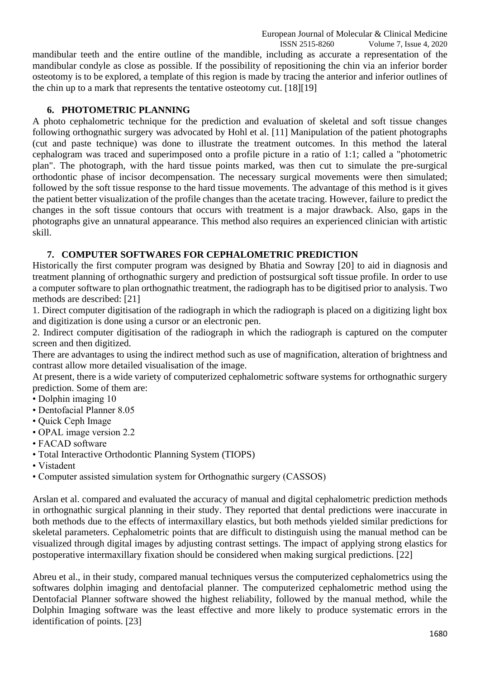European Journal of Molecular & Clinical Medicine

 ISSN 2515-8260 Volume 7, Issue 4, 2020 mandibular teeth and the entire outline of the mandible, including as accurate a representation of the mandibular condyle as close as possible. If the possibility of repositioning the chin via an inferior border osteotomy is to be explored, a template of this region is made by tracing the anterior and inferior outlines of the chin up to a mark that represents the tentative osteotomy cut. [18][19]

### **6. PHOTOMETRIC PLANNING**

A photo cephalometric technique for the prediction and evaluation of skeletal and soft tissue changes following orthognathic surgery was advocated by Hohl et al. [11] Manipulation of the patient photographs (cut and paste technique) was done to illustrate the treatment outcomes. In this method the lateral cephalogram was traced and superimposed onto a profile picture in a ratio of 1:1; called a "photometric plan". The photograph, with the hard tissue points marked, was then cut to simulate the pre-surgical orthodontic phase of incisor decompensation. The necessary surgical movements were then simulated; followed by the soft tissue response to the hard tissue movements. The advantage of this method is it gives the patient better visualization of the profile changes than the acetate tracing. However, failure to predict the changes in the soft tissue contours that occurs with treatment is a major drawback. Also, gaps in the photographs give an unnatural appearance. This method also requires an experienced clinician with artistic skill.

#### **7. COMPUTER SOFTWARES FOR CEPHALOMETRIC PREDICTION**

Historically the first computer program was designed by Bhatia and Sowray [20] to aid in diagnosis and treatment planning of orthognathic surgery and prediction of postsurgical soft tissue profile. In order to use a computer software to plan orthognathic treatment, the radiograph has to be digitised prior to analysis. Two methods are described: [21]

1. Direct computer digitisation of the radiograph in which the radiograph is placed on a digitizing light box and digitization is done using a cursor or an electronic pen.

2. Indirect computer digitisation of the radiograph in which the radiograph is captured on the computer screen and then digitized.

There are advantages to using the indirect method such as use of magnification, alteration of brightness and contrast allow more detailed visualisation of the image.

At present, there is a wide variety of computerized cephalometric software systems for orthognathic surgery prediction. Some of them are:

- Dolphin imaging 10
- Dentofacial Planner 8.05
- Quick Ceph Image
- OPAL image version 2.2
- FACAD software
- Total Interactive Orthodontic Planning System (TIOPS)
- Vistadent
- Computer assisted simulation system for Orthognathic surgery (CASSOS)

Arslan et al. compared and evaluated the accuracy of manual and digital cephalometric prediction methods in orthognathic surgical planning in their study. They reported that dental predictions were inaccurate in both methods due to the effects of intermaxillary elastics, but both methods yielded similar predictions for skeletal parameters. Cephalometric points that are difficult to distinguish using the manual method can be visualized through digital images by adjusting contrast settings. The impact of applying strong elastics for postoperative intermaxillary fixation should be considered when making surgical predictions. [22]

Abreu et al., in their study, compared manual techniques versus the computerized cephalometrics using the softwares dolphin imaging and dentofacial planner. The computerized cephalometric method using the Dentofacial Planner software showed the highest reliability, followed by the manual method, while the Dolphin Imaging software was the least effective and more likely to produce systematic errors in the identification of points. [23]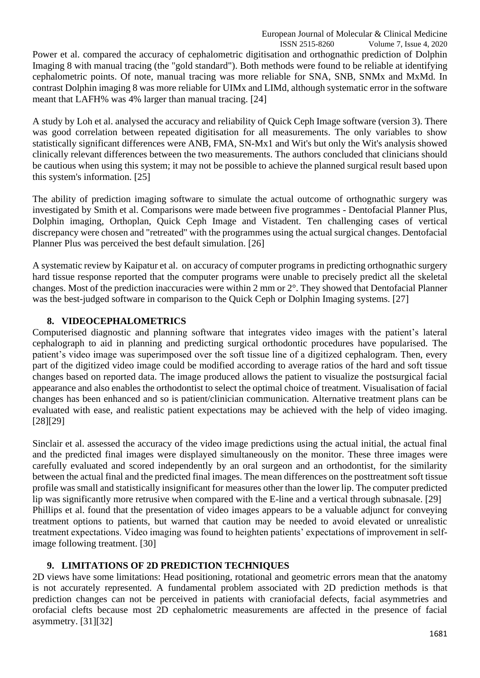Power et al. compared the accuracy of cephalometric digitisation and orthognathic prediction of Dolphin Imaging 8 with manual tracing (the "gold standard"). Both methods were found to be reliable at identifying cephalometric points. Of note, manual tracing was more reliable for SNA, SNB, SNMx and MxMd. In contrast Dolphin imaging 8 was more reliable for UIMx and LIMd, although systematic error in the software meant that LAFH% was 4% larger than manual tracing. [24]

A study by Loh et al. analysed the accuracy and reliability of Quick Ceph Image software (version 3). There was good correlation between repeated digitisation for all measurements. The only variables to show statistically significant differences were ANB, FMA, SN-Mx1 and Wit's but only the Wit's analysis showed clinically relevant differences between the two measurements. The authors concluded that clinicians should be cautious when using this system; it may not be possible to achieve the planned surgical result based upon this system's information. [25]

The ability of prediction imaging software to simulate the actual outcome of orthognathic surgery was investigated by Smith et al. Comparisons were made between five programmes - Dentofacial Planner Plus, Dolphin imaging, Orthoplan, Quick Ceph Image and Vistadent. Ten challenging cases of vertical discrepancy were chosen and "retreated" with the programmes using the actual surgical changes. Dentofacial Planner Plus was perceived the best default simulation. [26]

A systematic review by Kaipatur et al. on accuracy of computer programs in predicting orthognathic surgery hard tissue response reported that the computer programs were unable to precisely predict all the skeletal changes. Most of the prediction inaccuracies were within 2 mm or 2°. They showed that Dentofacial Planner was the best-judged software in comparison to the Quick Ceph or Dolphin Imaging systems. [27]

# **8. VIDEOCEPHALOMETRICS**

Computerised diagnostic and planning software that integrates video images with the patient's lateral cephalograph to aid in planning and predicting surgical orthodontic procedures have popularised. The patient's video image was superimposed over the soft tissue line of a digitized cephalogram. Then, every part of the digitized video image could be modified according to average ratios of the hard and soft tissue changes based on reported data. The image produced allows the patient to visualize the postsurgical facial appearance and also enables the orthodontist to select the optimal choice of treatment. Visualisation of facial changes has been enhanced and so is patient/clinician communication. Alternative treatment plans can be evaluated with ease, and realistic patient expectations may be achieved with the help of video imaging. [28][29]

Sinclair et al. assessed the accuracy of the video image predictions using the actual initial, the actual final and the predicted final images were displayed simultaneously on the monitor. These three images were carefully evaluated and scored independently by an oral surgeon and an orthodontist, for the similarity between the actual final and the predicted final images. The mean differences on the posttreatment soft tissue profile was small and statistically insignificant for measures other than the lower lip. The computer predicted lip was significantly more retrusive when compared with the E-line and a vertical through subnasale. [29] Phillips et al. found that the presentation of video images appears to be a valuable adjunct for conveying treatment options to patients, but warned that caution may be needed to avoid elevated or unrealistic treatment expectations. Video imaging was found to heighten patients' expectations of improvement in selfimage following treatment. [30]

# **9. LIMITATIONS OF 2D PREDICTION TECHNIQUES**

2D views have some limitations: Head positioning, rotational and geometric errors mean that the anatomy is not accurately represented. A fundamental problem associated with 2D prediction methods is that prediction changes can not be perceived in patients with craniofacial defects, facial asymmetries and orofacial clefts because most 2D cephalometric measurements are affected in the presence of facial asymmetry. [31][32]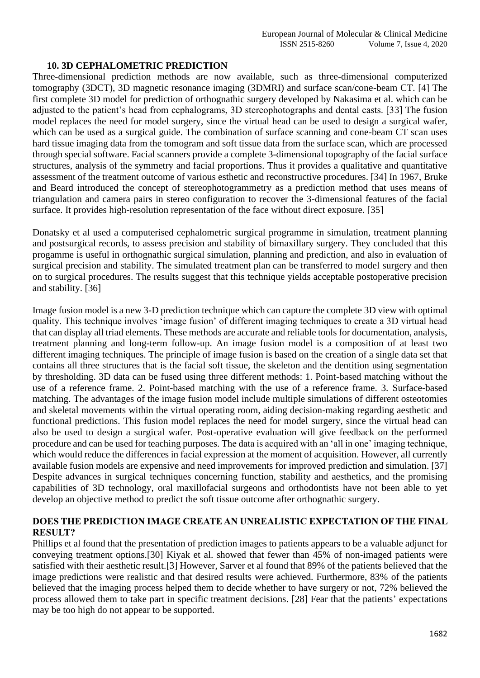#### **10. 3D CEPHALOMETRIC PREDICTION**

Three-dimensional prediction methods are now available, such as three-dimensional computerized tomography (3DCT), 3D magnetic resonance imaging (3DMRI) and surface scan/cone-beam CT. [4] The first complete 3D model for prediction of orthognathic surgery developed by Nakasima et al. which can be adjusted to the patient's head from cephalograms, 3D stereophotographs and dental casts. [33] The fusion model replaces the need for model surgery, since the virtual head can be used to design a surgical wafer, which can be used as a surgical guide. The combination of surface scanning and cone-beam CT scan uses hard tissue imaging data from the tomogram and soft tissue data from the surface scan, which are processed through special software. Facial scanners provide a complete 3-dimensional topography of the facial surface structures, analysis of the symmetry and facial proportions. Thus it provides a qualitative and quantitative assessment of the treatment outcome of various esthetic and reconstructive procedures. [34] In 1967, Bruke and Beard introduced the concept of stereophotogrammetry as a prediction method that uses means of triangulation and camera pairs in stereo configuration to recover the 3-dimensional features of the facial surface. It provides high-resolution representation of the face without direct exposure. [35]

Donatsky et al used a computerised cephalometric surgical programme in simulation, treatment planning and postsurgical records, to assess precision and stability of bimaxillary surgery. They concluded that this progamme is useful in orthognathic surgical simulation, planning and prediction, and also in evaluation of surgical precision and stability. The simulated treatment plan can be transferred to model surgery and then on to surgical procedures. The results suggest that this technique yields acceptable postoperative precision and stability. [36]

Image fusion model is a new 3-D prediction technique which can capture the complete 3D view with optimal quality. This technique involves 'image fusion' of different imaging techniques to create a 3D virtual head that can display all triad elements. These methods are accurate and reliable tools for documentation, analysis, treatment planning and long-term follow-up. An image fusion model is a composition of at least two different imaging techniques. The principle of image fusion is based on the creation of a single data set that contains all three structures that is the facial soft tissue, the skeleton and the dentition using segmentation by thresholding. 3D data can be fused using three different methods: 1. Point-based matching without the use of a reference frame. 2. Point-based matching with the use of a reference frame. 3. Surface-based matching. The advantages of the image fusion model include multiple simulations of different osteotomies and skeletal movements within the virtual operating room, aiding decision-making regarding aesthetic and functional predictions. This fusion model replaces the need for model surgery, since the virtual head can also be used to design a surgical wafer. Post-operative evaluation will give feedback on the performed procedure and can be used for teaching purposes. The data is acquired with an 'all in one' imaging technique, which would reduce the differences in facial expression at the moment of acquisition. However, all currently available fusion models are expensive and need improvements for improved prediction and simulation. [37] Despite advances in surgical techniques concerning function, stability and aesthetics, and the promising capabilities of 3D technology, oral maxillofacial surgeons and orthodontists have not been able to yet develop an objective method to predict the soft tissue outcome after orthognathic surgery.

### DOES THE PREDICTION IMAGE CREATE AN UNREALISTIC EXPECTATION OF THE FINAL **RESULT?**

Phillips et al found that the presentation of prediction images to patients appears to be a valuable adjunct for conveying treatment options.[30] Kiyak et al. showed that fewer than 45% of non-imaged patients were satisfied with their aesthetic result.[3] However, Sarver et al found that 89% of the patients believed that the image predictions were realistic and that desired results were achieved. Furthermore, 83% of the patients believed that the imaging process helped them to decide whether to have surgery or not, 72% believed the process allowed them to take part in specific treatment decisions. [28] Fear that the patients' expectations may be too high do not appear to be supported.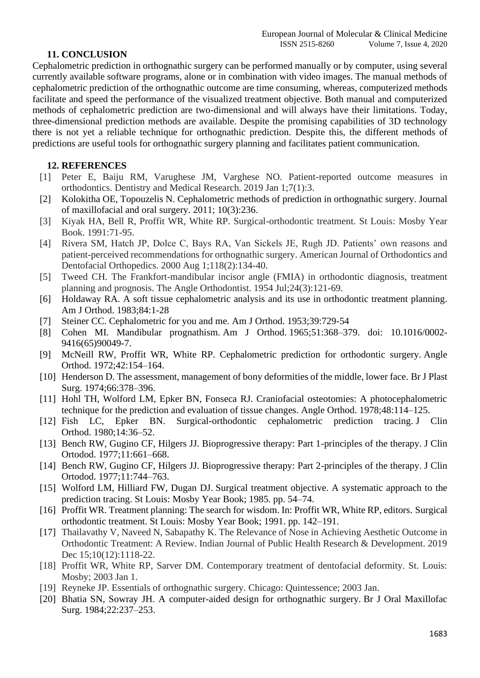#### **11. CONCLUSION**

Cephalometric prediction in orthognathic surgery can be performed manually or by computer, using several currently available software programs, alone or in combination with video images. The manual methods of cephalometric prediction of the orthognathic outcome are time consuming, whereas, computerized methods facilitate and speed the performance of the visualized treatment objective. Both manual and computerized methods of cephalometric prediction are two-dimensional and will always have their limitations. Today, three-dimensional prediction methods are available. Despite the promising capabilities of 3D technology there is not yet a reliable technique for orthognathic prediction. Despite this, the different methods of predictions are useful tools for orthognathic surgery planning and facilitates patient communication.

### **12. REFERENCES**

- [1] Peter E, Baiju RM, Varughese JM, Varghese NO. Patient-reported outcome measures in orthodontics. Dentistry and Medical Research. 2019 Jan 1;7(1):3.
- [2] Kolokitha OE, Topouzelis N. Cephalometric methods of prediction in orthognathic surgery. Journal of maxillofacial and oral surgery. 2011; 10(3):236.
- [3] Kiyak HA, Bell R, Proffit WR, White RP. Surgical-orthodontic treatment. St Louis: Mosby Year Book. 1991:71-95.
- [4] Rivera SM, Hatch JP, Dolce C, Bays RA, Van Sickels JE, Rugh JD. Patients' own reasons and patient-perceived recommendations for orthognathic surgery. American Journal of Orthodontics and Dentofacial Orthopedics. 2000 Aug 1;118(2):134-40.
- [5] Tweed CH. The Frankfort-mandibular incisor angle (FMIA) in orthodontic diagnosis, treatment planning and prognosis. The Angle Orthodontist. 1954 Jul;24(3):121-69.
- [6] Holdaway RA. A soft tissue cephalometric analysis and its use in orthodontic treatment planning. Am J Orthod. 1983;84:1-28
- [7] Steiner CC. Cephalometric for you and me. Am J Orthod. 1953;39:729-54
- [8] Cohen MI. Mandibular prognathism. Am J Orthod. 1965;51:368–379. doi: 10.1016/0002- 9416(65)90049-7.
- [9] McNeill RW, Proffit WR, White RP. Cephalometric prediction for orthodontic surgery. Angle Orthod. 1972;42:154–164.
- [10] Henderson D. The assessment, management of bony deformities of the middle, lower face. Br J Plast Surg. 1974;66:378–396.
- [11] Hohl TH, Wolford LM, Epker BN, Fonseca RJ. Craniofacial osteotomies: A photocephalometric technique for the prediction and evaluation of tissue changes. Angle Orthod. 1978;48:114–125.
- [12] Fish LC, Epker BN. Surgical-orthodontic cephalometric prediction tracing. J Clin Orthod. 1980;14:36–52.
- [13] Bench RW, Gugino CF, Hilgers JJ. Bioprogressive therapy: Part 1-principles of the therapy. J Clin Ortodod. 1977;11:661–668.
- [14] Bench RW, Gugino CF, Hilgers JJ. Bioprogressive therapy: Part 2-principles of the therapy. J Clin Ortodod. 1977;11:744–763.
- [15] Wolford LM, Hilliard FW, Dugan DJ. Surgical treatment objective. A systematic approach to the prediction tracing. St Louis: Mosby Year Book; 1985. pp. 54–74.
- [16] Proffit WR. Treatment planning: The search for wisdom. In: Proffit WR, White RP, editors. Surgical orthodontic treatment. St Louis: Mosby Year Book; 1991. pp. 142–191.
- [17] Thailavathy V, Naveed N, Sabapathy K. The Relevance of Nose in Achieving Aesthetic Outcome in Orthodontic Treatment: A Review. Indian Journal of Public Health Research & Development. 2019 Dec 15;10(12):1118-22.
- [18] Proffit WR, White RP, Sarver DM. Contemporary treatment of dentofacial deformity. St. Louis: Mosby; 2003 Jan 1.
- [19] Reyneke JP. Essentials of orthognathic surgery. Chicago: Quintessence; 2003 Jan.
- [20] Bhatia SN, Sowray JH. A computer-aided design for orthognathic surgery. Br J Oral Maxillofac Surg. 1984;22:237–253.